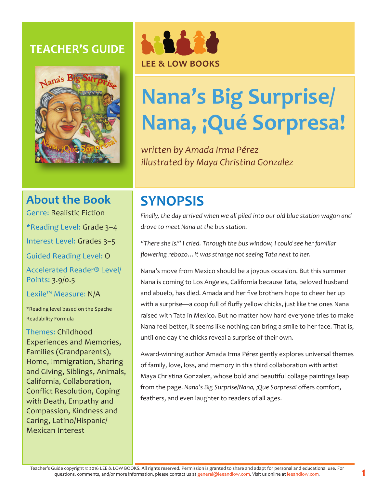## **TEACHER'S GUIDE**





# **Nana's Big Surprise/ Nana, ¡Qué Sorpresa!**

*written by Amada Irma Pérez illustrated by Maya Christina Gonzalez*

# **About the Book**

Genre: Realistic Fiction

\*Reading Level: Grade 3–4

Interest Level: Grades 3–5

Guided Reading Level: O

Accelerated Reader® Level/ Points: 3.9/0.5

Lexile™ Measure: N/A

\*Reading level based on the Spache Readability Formula

Themes: Childhood Experiences and Memories, Families (Grandparents), Home, Immigration, Sharing and Giving, Siblings, Animals, California, Collaboration, Conflict Resolution, Coping with Death, Empathy and Compassion, Kindness and Caring, Latino/Hispanic/ Mexican Interest

# **SYNOPSIS**

*Finally, the day arrived when we all piled into our old blue station wagon and drove to meet Nana at the bus station.* 

*"There she is!" I cried. Through the bus window, I could see her familiar flowering rebozo…It was strange not seeing Tata next to her.* 

Nana's move from Mexico should be a joyous occasion. But this summer Nana is coming to Los Angeles, California because Tata, beloved husband and abuelo, has died. Amada and her five brothers hope to cheer her up with a surprise—a coop full of fluffy yellow chicks, just like the ones Nana raised with Tata in Mexico. But no matter how hard everyone tries to make Nana feel better, it seems like nothing can bring a smile to her face. That is, until one day the chicks reveal a surprise of their own.

Award-winning author Amada Irma Pérez gently explores universal themes of family, love, loss, and memory in this third collaboration with artist Maya Christina Gonzalez, whose bold and beautiful collage paintings leap from the page. *Nana's Big Surprise/Nana, ¡Que Sorpresa!* offers comfort, feathers, and even laughter to readers of all ages.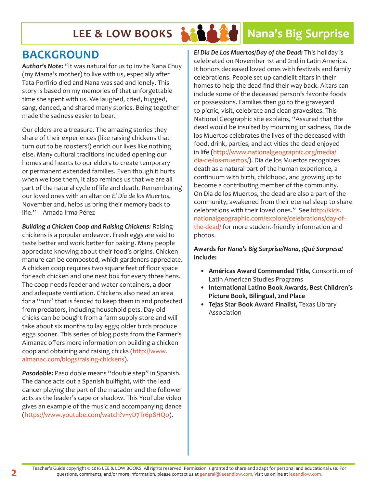# LEE & LOW BOOKS **NAME AND RESERVE SURPRISE**

## **BACKGROUND**

*Author's Note:* "It was natural for us to invite Nana Chuy (my Mama's mother) to live with us, especially after Tata Porfirio died and Nana was sad and lonely. This story is based on my memories of that unforgettable time she spent with us. We laughed, cried, hugged, sang, danced, and shared many stories. Being together made the sadness easier to bear.

Our elders are a treasure. The amazing stories they share of their experiences (like raising chickens that turn out to be roosters!) enrich our lives like nothing else. Many cultural traditions included opening our homes and hearts to our elders to create temporary or permanent extended families. Even though it hurts when we lose them, it also reminds us that we are all part of the natural cycle of life and death. Remembering our loved ones with an altar on *El Día de los Muertos*, November 2nd, helps us bring their memory back to life."—Amada Irma Pérez

*Building a Chicken Coop and Raising Chickens:* Raising chickens is a popular endeavor. Fresh eggs are said to taste better and work better for baking. Many people appreciate knowing about their food's origins. Chicken manure can be composted, which gardeners appreciate. A chicken coop requires two square feet of floor space for each chicken and one nest box for every three hens. The coop needs feeder and water containers, a door and adequate ventilation. Chickens also need an area for a "run" that is fenced to keep them in and protected from predators, including household pets. Day-old chicks can be bought from a farm supply store and will take about six months to lay eggs; older birds produce eggs sooner. This series of blog posts from the Farmer's Almanac offers more information on building a chicken coop and obtaining and raising chicks (http://www. almanac.com/blogs/raising-chickens).

*Pasodoble:* Paso doble means "double step" in Spanish. The dance acts out a Spanish bullfight, with the lead dancer playing the part of the matador and the follower acts as the leader's cape or shadow. This YouTube video gives an example of the music and accompanying dance (https://www.youtube.com/watch?v=yD7Tr6p8HQo).

*El Dia De Los Muertos/Day of the Dead:* This holiday is celebrated on November 1st and 2nd in Latin America. It honors deceased loved ones with festivals and family celebrations. People set up candlelit altars in their homes to help the dead find their way back. Altars can include some of the deceased person's favorite foods or possessions. Families then go to the graveyard to picnic, visit, celebrate and clean gravesites. This National Geographic site explains, "Assured that the dead would be insulted by mourning or sadness, Dia de los Muertos celebrates the lives of the deceased with food, drink, parties, and activities the dead enjoyed in life (http://www.nationalgeographic.org/media/ dia-de-los-muertos/). Dia de los Muertos recognizes death as a natural part of the human experience, a continuum with birth, childhood, and growing up to become a contributing member of the community. On Dia de los Muertos, the dead are also a part of the community, awakened from their eternal sleep to share celebrations with their loved ones." See http://kids. nationalgeographic.com/explore/celebrations/day-ofthe-dead/ for more student-friendly information and photos.

#### **Awards for** *Nana's Big Surprise/Nana, ¡Qué Sorpresa!*  **include:**

- **• Américas Award Commended Title**, Consortium of Latin American Studies Programs
- **• International Latino Book Awards, Best Children's Picture Book, Bilingual, 2nd Place**
- **• Tejas Star Book Award Finalist,** Texas Library Association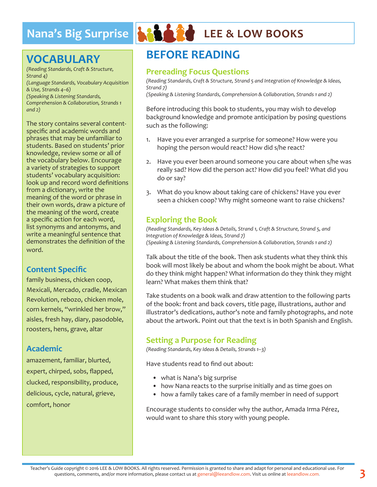# **Nana's Big Surprise & A A A A LEE & LOW BOOKS**

# **VOCABULARY**

*(Reading Standards, Craft & Structure, Strand 4) (Language Standards, Vocabulary Acquisition & Use, Strands 4–6) (Speaking & Listening Standards, Comprehension & Collaboration, Strands 1 and 2)*

The story contains several contentspecific and academic words and phrases that may be unfamiliar to students. Based on students' prior knowledge, review some or all of the vocabulary below. Encourage a variety of strategies to support students' vocabulary acquisition: look up and record word definitions from a dictionary, write the meaning of the word or phrase in their own words, draw a picture of the meaning of the word, create a specific action for each word, list synonyms and antonyms, and write a meaningful sentence that demonstrates the definition of the word.

### **Content Specific**

family business, chicken coop, Mexicali, Mercado, cradle, Mexican Revolution, rebozo, chicken mole, corn kernels, "wrinkled her brow," aisles, fresh hay, diary, pasodoble, roosters, hens, grave, altar

#### **Academic**

amazement, familiar, blurted, expert, chirped, sobs, flapped, clucked, responsibility, produce, delicious, cycle, natural, grieve, comfort, honor



# **BEFORE READING**

#### **Prereading Focus Questions**

*(Reading Standards, Craft & Structure, Strand 5 and Integration of Knowledge & Ideas, Strand 7)*

*(Speaking & Listening Standards, Comprehension & Collaboration, Strands 1 and 2)*

Before introducing this book to students, you may wish to develop background knowledge and promote anticipation by posing questions such as the following:

- 1. Have you ever arranged a surprise for someone? How were you hoping the person would react? How did s/he react?
- 2. Have you ever been around someone you care about when s/he was really sad? How did the person act? How did you feel? What did you do or say?
- 3. What do you know about taking care of chickens? Have you ever seen a chicken coop? Why might someone want to raise chickens?

### **Exploring the Book**

*(Reading Standards, Key Ideas & Details, Strand 1, Craft & Structure, Strand 5, and Integration of Knowledge & Ideas, Strand 7) (Speaking & Listening Standards, Comprehension & Collaboration, Strands 1 and 2)*

Talk about the title of the book. Then ask students what they think this book will most likely be about and whom the book might be about. What do they think might happen? What information do they think they might learn? What makes them think that?

Take students on a book walk and draw attention to the following parts of the book: front and back covers, title page, illustrations, author and illustrator's dedications, author's note and family photographs, and note about the artwork. Point out that the text is in both Spanish and English.

#### **Setting a Purpose for Reading**

*(Reading Standards, Key Ideas & Details, Strands 1–3)*

Have students read to find out about:

- what is Nana's big surprise
- how Nana reacts to the surprise initially and as time goes on
- how a family takes care of a family member in need of support

Encourage students to consider why the author, Amada Irma Pérez, would want to share this story with young people.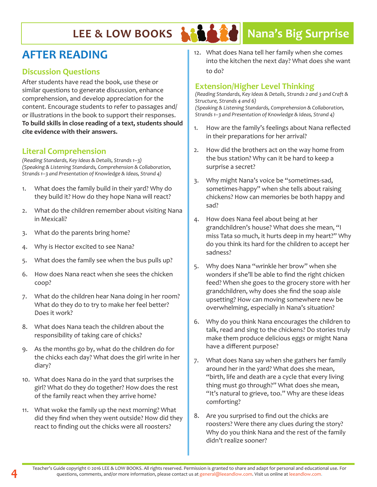

# LEE & LOW BOOKS **NAME AND RESERVE BIG Surprise**

# **AFTER READING**

#### **Discussion Questions**

After students have read the book, use these or similar questions to generate discussion, enhance comprehension, and develop appreciation for the content. Encourage students to refer to passages and/ or illustrations in the book to support their responses. **To build skills in close reading of a text, students should cite evidence with their answers.**

### **Literal Comprehension**

*(Reading Standards, Key Ideas & Details, Strands 1–3) (Speaking & Listening Standards, Comprehension & Collaboration, Strands 1–3 and Presentation of Knowledge & Ideas, Strand 4)*

- 1. What does the family build in their yard? Why do they build it? How do they hope Nana will react?
- 2. What do the children remember about visiting Nana in Mexicali?
- 3. What do the parents bring home?
- 4. Why is Hector excited to see Nana?
- 5. What does the family see when the bus pulls up?
- 6. How does Nana react when she sees the chicken coop?
- 7. What do the children hear Nana doing in her room? What do they do to try to make her feel better? Does it work?
- 8. What does Nana teach the children about the responsibility of taking care of chicks?
- 9. As the months go by, what do the children do for the chicks each day? What does the girl write in her diary?
- 10. What does Nana do in the yard that surprises the girl? What do they do together? How does the rest of the family react when they arrive home?
- 11. What woke the family up the next morning? What did they find when they went outside? How did they react to finding out the chicks were all roosters?

12. What does Nana tell her family when she comes into the kitchen the next day? What does she want to do?

#### **Extension/Higher Level Thinking**

*(Reading Standards, Key Ideas & Details, Strands 2 and 3 and Craft & Structure, Strands 4 and 6) (Speaking & Listening Standards, Comprehension & Collaboration, Strands 1–3 and Presentation of Knowledge & Ideas, Strand 4)*

- 1. How are the family's feelings about Nana reflected in their preparations for her arrival?
- 2. How did the brothers act on the way home from the bus station? Why can it be hard to keep a surprise a secret?
- 3. Why might Nana's voice be "sometimes-sad, sometimes-happy" when she tells about raising chickens? How can memories be both happy and sad?
- 4. How does Nana feel about being at her grandchildren's house? What does she mean, "I miss Tata so much, it hurts deep in my heart?" Why do you think its hard for the children to accept her sadness?
- 5. Why does Nana "wrinkle her brow" when she wonders if she'll be able to find the right chicken feed? When she goes to the grocery store with her grandchildren, why does she find the soap aisle upsetting? How can moving somewhere new be overwhelming, especially in Nana's situation?
- 6. Why do you think Nana encourages the children to talk, read and sing to the chickens? Do stories truly make them produce delicious eggs or might Nana have a different purpose?
- 7. What does Nana say when she gathers her family around her in the yard? What does she mean, "birth, life and death are a cycle that every living thing must go through?" What does she mean, "It's natural to grieve, too." Why are these ideas comforting?
- 8. Are you surprised to find out the chicks are roosters? Were there any clues during the story? Why do you think Nana and the rest of the family didn't realize sooner?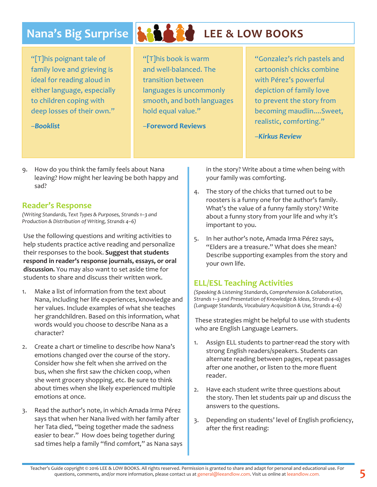# **Nana's Big Surprise & A A A LEE & LOW BOOKS**

"[T]his poignant tale of family love and grieving is ideal for reading aloud in either language, especially to children coping with deep losses of their own."

–*Booklist*



"[T]his book is warm and well-balanced. The transition between languages is uncommonly smooth, and both languages hold equal value."

–**Foreword Reviews**

"Gonzalez's rich pastels and cartoonish chicks combine with Pérez's powerful depiction of family love to prevent the story from becoming maudlin....Sweet, realistic, comforting."

–*Kirkus Review*

9. How do you think the family feels about Nana leaving? How might her leaving be both happy and sad?

#### **Reader's Response**

*(Writing Standards, Text Types & Purposes, Strands 1–3 and Production & Distribution of Writing, Strands 4–6)* 

Use the following questions and writing activities to help students practice active reading and personalize their responses to the book. **Suggest that students respond in reader's response journals, essays, or oral discussion.** You may also want to set aside time for students to share and discuss their written work.

- 1. Make a list of information from the text about Nana, including her life experiences, knowledge and her values. Include examples of what she teaches her grandchildren. Based on this information, what words would you choose to describe Nana as a character?
- 2. Create a chart or timeline to describe how Nana's emotions changed over the course of the story. Consider how she felt when she arrived on the bus, when she first saw the chicken coop, when she went grocery shopping, etc. Be sure to think about times when she likely experienced multiple emotions at once.
- 3. Read the author's note, in which Amada Irma Pérez says that when her Nana lived with her family after her Tata died, "being together made the sadness easier to bear." How does being together during sad times help a family "find comfort," as Nana says

in the story? Write about a time when being with your family was comforting.

- 4. The story of the chicks that turned out to be roosters is a funny one for the author's family. What's the value of a funny family story? Write about a funny story from your life and why it's important to you.
- 5. In her author's note, Amada Irma Pérez says, "Elders are a treasure." What does she mean? Describe supporting examples from the story and your own life.

### **ELL/ESL Teaching Activities**

*(Speaking & Listening Standards, Comprehension & Collaboration, Strands 1–3 and Presentation of Knowledge & Ideas, Strands 4–6) (Language Standards, Vocabulary Acquisition & Use, Strands 4–6)*

These strategies might be helpful to use with students who are English Language Learners.

- 1. Assign ELL students to partner-read the story with strong English readers/speakers. Students can alternate reading between pages, repeat passages after one another, or listen to the more fluent reader.
- 2. Have each student write three questions about the story. Then let students pair up and discuss the answers to the questions.
- 3. Depending on students' level of English proficiency, after the first reading: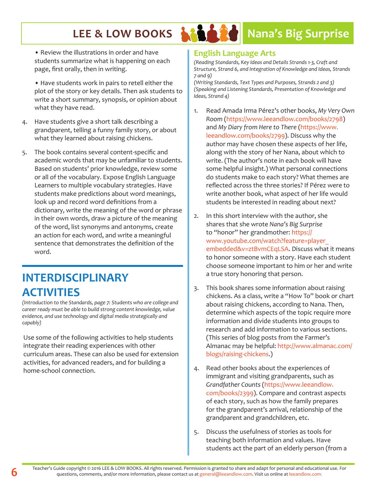# LEE & LOW BOOKS **NAME AND RESERVE BIG Surprise**

• Review the illustrations in order and have students summarize what is happening on each page, first orally, then in writing.

• Have students work in pairs to retell either the plot of the story or key details. Then ask students to write a short summary, synopsis, or opinion about what they have read.

- 4. Have students give a short talk describing a grandparent, telling a funny family story, or about what they learned about raising chickens.
- 5. The book contains several content-specific and academic words that may be unfamiliar to students. Based on students' prior knowledge, review some or all of the vocabulary. Expose English Language Learners to multiple vocabulary strategies. Have students make predictions about word meanings, look up and record word definitions from a dictionary, write the meaning of the word or phrase in their own words, draw a picture of the meaning of the word, list synonyms and antonyms, create an action for each word, and write a meaningful sentence that demonstrates the definition of the word.

# **INTERDISCIPLINARY ACTIVITIES**

*(Introduction to the Standards, page 7: Students who are college and career ready must be able to build strong content knowledge, value evidence, and use technology and digital media strategically and capably)*

Use some of the following activities to help students integrate their reading experiences with other curriculum areas. These can also be used for extension activities, for advanced readers, and for building a home-school connection.

### **English Language Arts**

*(Reading Standards, Key Ideas and Details Strands 1-3, Craft and Structure, Strand 6, and Integration of Knowledge and Ideas, Strands 7 and 9)*

*(Writing Standards, Text Types and Purposes, Strands 2 and 3) (Speaking and Listening Standards, Presentation of Knowledge and Ideas, Strand 4)*

- 1. Read Amada Irma Pérez's other books, *My Very Own Room* (https://www.leeandlow.com/books/2798) and *My Diary from Here to There* (https://www. leeandlow.com/books/2799). Discuss why the author may have chosen these aspects of her life, along with the story of her Nana, about which to write. (The author's note in each book will have some helpful insight.) What personal connections do students make to each story? What themes are reflected across the three stories? If Pérez were to write another book, what aspect of her life would students be interested in reading about next?
- 2. In this short interview with the author, she shares that she wrote *Nana's Big Surprise*  to "honor" her grandmother: https:// www.youtube.com/watch?feature=player\_ embedded&v=ztBvmCEqLSA. Discuss what it means to honor someone with a story. Have each student choose someone important to him or her and write a true story honoring that person.
- 3. This book shares some information about raising chickens. As a class, write a "How To" book or chart about raising chickens, according to Nana. Then, determine which aspects of the topic require more information and divide students into groups to research and add information to various sections. (This series of blog posts from the Farmer's Almanac may be helpful: http://www.almanac.com/ blogs/raising-chickens.)
- 4. Read other books about the experiences of immigrant and visiting grandparents, such as *Grandfather Counts* (https://www.leeandlow. com/books/2399). Compare and contrast aspects of each story, such as how the family prepares for the grandparent's arrival, relationship of the grandparent and grandchildren, etc.
- 5. Discuss the usefulness of stories as tools for teaching both information and values. Have students act the part of an elderly person (from a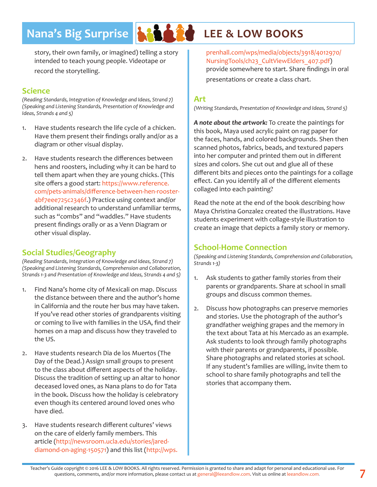# **Nana's Big Surprise At LEE & LOW BOOKS**



story, their own family, or imagined) telling a story intended to teach young people. Videotape or record the storytelling.

#### **Science**

*(Reading Standards, Integration of Knowledge and Ideas, Strand 7) (Speaking and Listening Standards, Presentation of Knowledge and Ideas, Strands 4 and 5)*

- 1. Have students research the life cycle of a chicken. Have them present their findings orally and/or as a diagram or other visual display.
- 2. Have students research the differences between hens and roosters, including why it can be hard to tell them apart when they are young chicks. (This site offers a good start: https://www.reference. com/pets-animals/difference-between-hen-rooster-4bf7eee725c2346f.) Practice using context and/or additional research to understand unfamiliar terms, such as "combs" and "waddles." Have students present findings orally or as a Venn Diagram or other visual display.

### **Social Studies/Geography**

*(Reading Standards, Integration of Knowledge and Ideas, Strand 7) (Speaking and Listening Standards, Comprehension and Collaboration, Strands 1-3 and Presentation of Knowledge and Ideas, Strands 4 and 5)*

- 1. Find Nana's home city of Mexicali on map. Discuss the distance between there and the author's home in California and the route her bus may have taken. If you've read other stories of grandparents visiting or coming to live with families in the USA, find their homes on a map and discuss how they traveled to the US.
- 2. Have students research Dia de los Muertos (The Day of the Dead.) Assign small groups to present to the class about different aspects of the holiday. Discuss the tradition of setting up an altar to honor deceased loved ones, as Nana plans to do for Tata in the book. Discuss how the holiday is celebratory even though its centered around loved ones who have died.
- 3. Have students research different cultures' views on the care of elderly family members. This article (http://newsroom.ucla.edu/stories/jareddiamond-on-aging-150571) and this list (http://wps.

prenhall.com/wps/media/objects/3918/4012970/ NursingTools/ch23 CultViewElders 407.pdf) provide somewhere to start. Share findings in oral presentations or create a class chart.

#### **Art**

*(Writing Standards, Presentation of Knowledge and Ideas, Strand 5)*

*A note about the artwork:* To create the paintings for this book, Maya used acrylic paint on rag paper for the faces, hands, and colored backgrounds. Shen then scanned photos, fabrics, beads, and textured papers into her computer and printed them out in different sizes and colors. She cut out and glue all of these different bits and pieces onto the paintings for a collage effect. Can you identify all of the different elements collaged into each painting?

Read the note at the end of the book describing how Maya Christina Gonzalez created the illustrations. Have students experiment with collage-style illustration to create an image that depicts a family story or memory.

### **School-Home Connection**

*(Speaking and Listening Standards, Comprehension and Collaboration, Strands 1-3)*

- 1. Ask students to gather family stories from their parents or grandparents. Share at school in small groups and discuss common themes.
- 2. Discuss how photographs can preserve memories and stories. Use the photograph of the author's grandfather weighing grapes and the memory in the text about Tata at his Mercado as an example. Ask students to look through family photographs with their parents or grandparents, if possible. Share photographs and related stories at school. If any student's families are willing, invite them to school to share family photographs and tell the stories that accompany them.

**7** Teacher's Guide copyright © 2016 LEE & LOW BOOKS. All rights reserved. Permission is granted to share and adapt for personal and educational use. For questions, comments, and/or more information, please contact us at general@leeandlow.com. Visit us online at leeandlow.com.